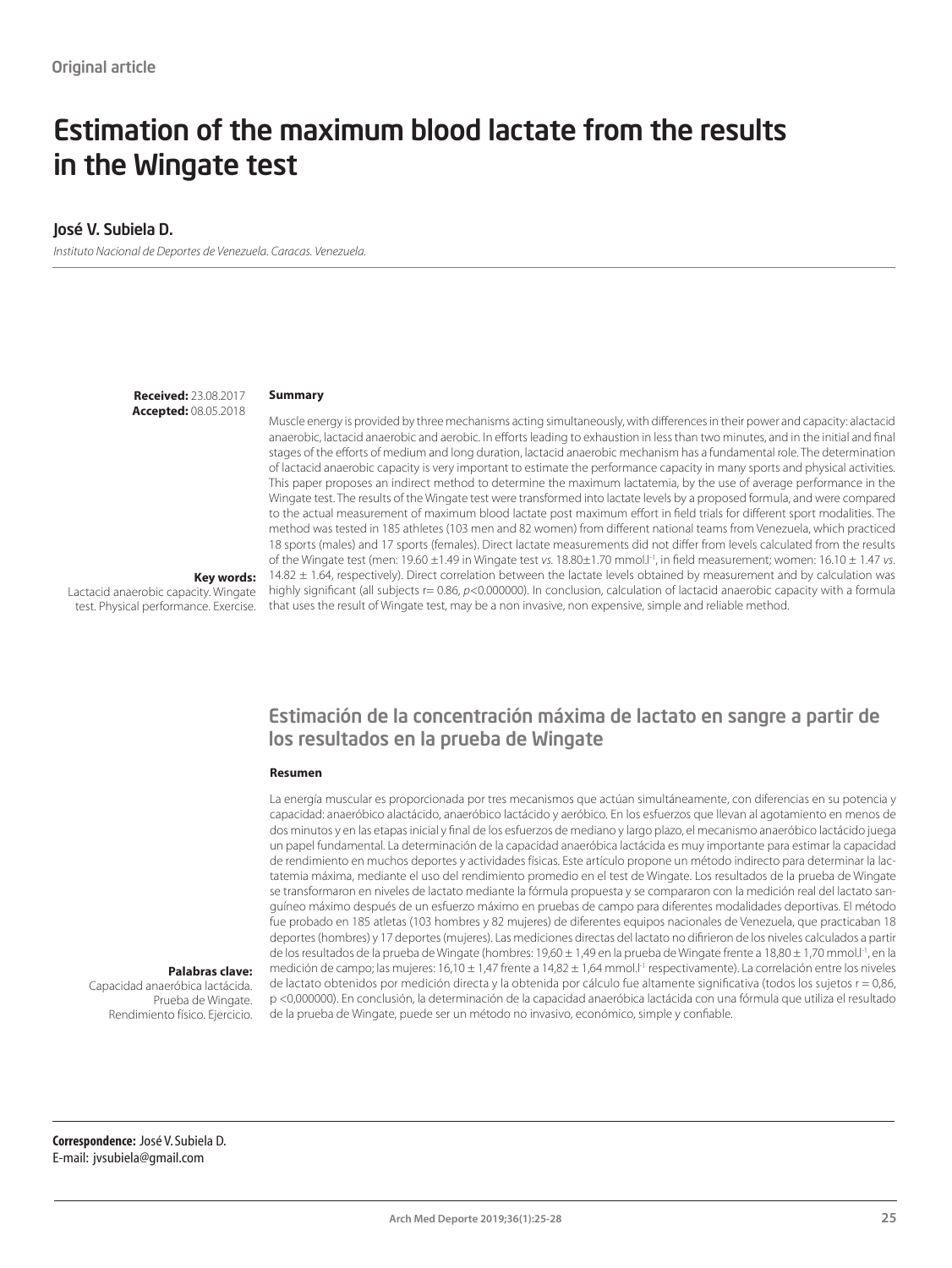# Estimation of the maximum blood lactate from the results in the Wingate test

#### José V. Subiela D.

*Instituto Nacional de Deportes de Venezuela. Caracas. Venezuela.*

**Received:** 23.08.2017 **Accepted:** 08.05.2018

#### **Summary**

Muscle energy is provided by three mechanisms acting simultaneously, with differences in their power and capacity: alactacid anaerobic, lactacid anaerobic and aerobic. In efforts leading to exhaustion in less than two minutes, and in the initial and final stages of the efforts of medium and long duration, lactacid anaerobic mechanism has a fundamental role. The determination of lactacid anaerobic capacity is very important to estimate the performance capacity in many sports and physical activities. This paper proposes an indirect method to determine the maximum lactatemia, by the use of average performance in the Wingate test. The results of the Wingate test were transformed into lactate levels by a proposed formula, and were compared to the actual measurement of maximum blood lactate post maximum effort in field trials for different sport modalities. The method was tested in 185 athletes (103 men and 82 women) from different national teams from Venezuela, which practiced 18 sports (males) and 17 sports (females). Direct lactate measurements did not differ from levels calculated from the results of the Wingate test (men: 19.60 ±1.49 in Wingate test *vs.* 18.80±1.70 mmol.l-1, in field measurement; women: 16.10 ± 1.47 *vs*. 14.82 ± 1.64, respectively). Direct correlation between the lactate levels obtained by measurement and by calculation was highly significant (all subjects r= 0.86, *p*<0.000000). In conclusion, calculation of lactacid anaerobic capacity with a formula that uses the result of Wingate test, may be a non invasive, non expensive, simple and reliable method.

**Key words:**  Lactacid anaerobic capacity. Wingate test. Physical performance. Exercise.

### Estimación de la concentración máxima de lactato en sangre a partir de los resultados en la prueba de Wingate

#### **Resumen**

La energía muscular es proporcionada por tres mecanismos que actúan simultáneamente, con diferencias en su potencia y capacidad: anaeróbico alactácido, anaeróbico lactácido y aeróbico. En los esfuerzos que llevan al agotamiento en menos de dos minutos y en las etapas inicial y final de los esfuerzos de mediano y largo plazo, el mecanismo anaeróbico lactácido juega un papel fundamental. La determinación de la capacidad anaeróbica lactácida es muy importante para estimar la capacidad de rendimiento en muchos deportes y actividades físicas. Este artículo propone un método indirecto para determinar la lactatemia máxima, mediante el uso del rendimiento promedio en el test de Wingate. Los resultados de la prueba de Wingate se transformaron en niveles de lactato mediante la fórmula propuesta y se compararon con la medición real del lactato sanguíneo máximo después de un esfuerzo máximo en pruebas de campo para diferentes modalidades deportivas. El método fue probado en 185 atletas (103 hombres y 82 mujeres) de diferentes equipos nacionales de Venezuela, que practicaban 18 deportes (hombres) y 17 deportes (mujeres). Las mediciones directas del lactato no difirieron de los niveles calculados a partir de los resultados de la prueba de Wingate (hombres: 19,60 ± 1,49 en la prueba de Wingate frente a 18,80 ± 1,70 mmol.l<sup>-1</sup>, en la medición de campo; las mujeres: 16,10 ± 1,47 frente a 14,82 ± 1,64 mmol.l<sup>-1</sup> respectivamente). La correlación entre los niveles de lactato obtenidos por medición directa y la obtenida por cálculo fue altamente significativa (todos los sujetos r = 0,86, p <0,000000). En conclusión, la determinación de la capacidad anaeróbica lactácida con una fórmula que utiliza el resultado de la prueba de Wingate, puede ser un método no invasivo, económico, simple y confiable.

#### **Palabras clave:**

Capacidad anaeróbica lactácida. Prueba de Wingate. Rendimiento físico. Ejercicio.

**Correspondence:** José V. Subiela D. E-mail: jvsubiela@gmail.com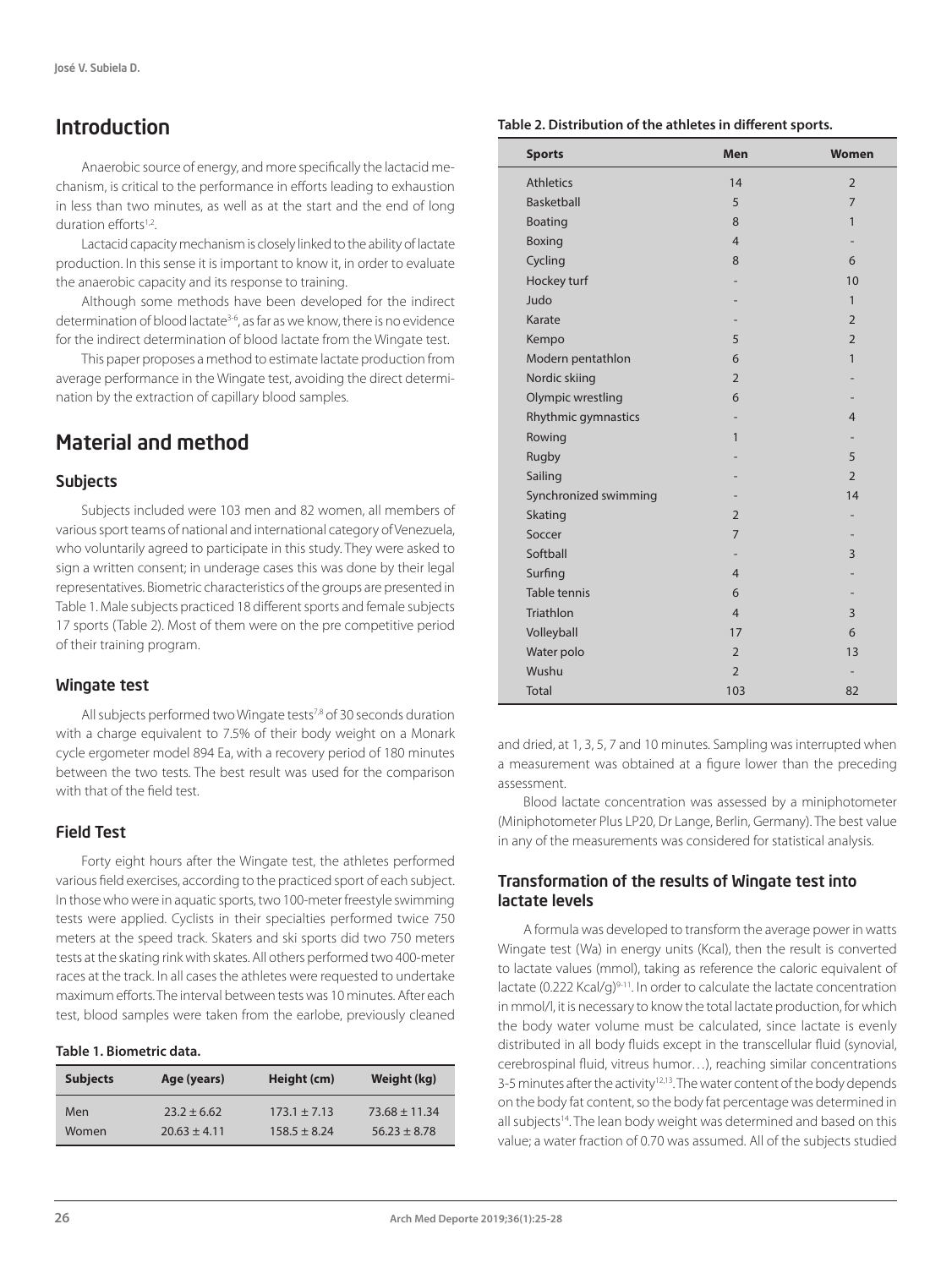# Introduction

Anaerobic source of energy, and more specifically the lactacid mechanism, is critical to the performance in efforts leading to exhaustion in less than two minutes, as well as at the start and the end of long duration efforts<sup>1,2</sup>.

Lactacid capacity mechanism is closely linked to the ability of lactate production. In this sense it is important to know it, in order to evaluate the anaerobic capacity and its response to training.

Although some methods have been developed for the indirect determination of blood lactate<sup>3-6</sup>, as far as we know, there is no evidence for the indirect determination of blood lactate from the Wingate test.

This paper proposes a method to estimate lactate production from average performance in the Wingate test, avoiding the direct determination by the extraction of capillary blood samples.

# Material and method

#### **Subjects**

Subjects included were 103 men and 82 women, all members of various sport teams of national and international category of Venezuela, who voluntarily agreed to participate in this study. They were asked to sign a written consent; in underage cases this was done by their legal representatives. Biometric characteristics of the groups are presented in Table 1. Male subjects practiced 18 different sports and female subjects 17 sports (Table 2). Most of them were on the pre competitive period of their training program.

#### Wingate test

All subjects performed two Wingate tests<sup>7,8</sup> of 30 seconds duration with a charge equivalent to 7.5% of their body weight on a Monark cycle ergometer model 894 Ea, with a recovery period of 180 minutes between the two tests. The best result was used for the comparison with that of the field test.

#### Field Test

Forty eight hours after the Wingate test, the athletes performed various field exercises, according to the practiced sport of each subject. In those who were in aquatic sports, two 100-meter freestyle swimming tests were applied. Cyclists in their specialties performed twice 750 meters at the speed track. Skaters and ski sports did two 750 meters tests at the skating rink with skates. All others performed two 400-meter races at the track. In all cases the athletes were requested to undertake maximum efforts. The interval between tests was 10 minutes. After each test, blood samples were taken from the earlobe, previously cleaned

#### **Table 1. Biometric data.**

| <b>Subjects</b> | Age (years)      | Height (cm)      | Weight (kg)       |
|-----------------|------------------|------------------|-------------------|
| Men             | $23.2 \pm 6.62$  | $173.1 \pm 7.13$ | $73.68 \pm 11.34$ |
| Women           | $20.63 \pm 4.11$ | $158.5 \pm 8.24$ | $56.23 \pm 8.78$  |

#### **Table 2. Distribution of the athletes in different sports.**

| <b>Sports</b>         | <b>Men</b>     | <b>Women</b>   |
|-----------------------|----------------|----------------|
| <b>Athletics</b>      | 14             | $\overline{2}$ |
| <b>Basketball</b>     | 5              | $\overline{7}$ |
| Boating               | 8              | 1              |
| Boxing                | $\overline{4}$ |                |
| Cycling               | 8              | 6              |
| Hockey turf           |                | 10             |
| Judo                  |                | 1              |
| Karate                |                | $\overline{2}$ |
| Kempo                 | 5              | $\overline{2}$ |
| Modern pentathlon     | 6              | $\mathbf{1}$   |
| Nordic skiing         | $\overline{2}$ |                |
| Olympic wrestling     | 6              |                |
| Rhythmic gymnastics   |                | $\overline{4}$ |
| Rowing                | $\mathbf{1}$   |                |
| Rugby                 |                | 5              |
| Sailing               |                | $\overline{2}$ |
| Synchronized swimming |                | 14             |
| Skating               | $\overline{2}$ |                |
| Soccer                | $\overline{7}$ |                |
| Softball              |                | 3              |
| Surfing               | $\overline{4}$ |                |
| <b>Table tennis</b>   | 6              |                |
| Triathlon             | $\overline{4}$ | 3              |
| Volleyball            | 17             | 6              |
| Water polo            | $\overline{2}$ | 13             |
| Wushu                 | $\overline{2}$ |                |
| <b>Total</b>          | 103            | 82             |

and dried, at 1, 3, 5, 7 and 10 minutes. Sampling was interrupted when a measurement was obtained at a figure lower than the preceding assessment.

Blood lactate concentration was assessed by a miniphotometer (Miniphotometer Plus LP20, Dr Lange, Berlin, Germany). The best value in any of the measurements was considered for statistical analysis.

#### Transformation of the results of Wingate test into lactate levels

A formula was developed to transform the average power in watts Wingate test (Wa) in energy units (Kcal), then the result is converted to lactate values (mmol), taking as reference the caloric equivalent of lactate (0.222 Kcal/g)<sup>9-11</sup>. In order to calculate the lactate concentration in mmol/l, it is necessary to know the total lactate production, for which the body water volume must be calculated, since lactate is evenly distributed in all body fluids except in the transcellular fluid (synovial, cerebrospinal fluid, vitreus humor…), reaching similar concentrations 3-5 minutes after the activity<sup>12,13</sup>. The water content of the body depends on the body fat content, so the body fat percentage was determined in all subjects<sup>14</sup>. The lean body weight was determined and based on this value; a water fraction of 0.70 was assumed. All of the subjects studied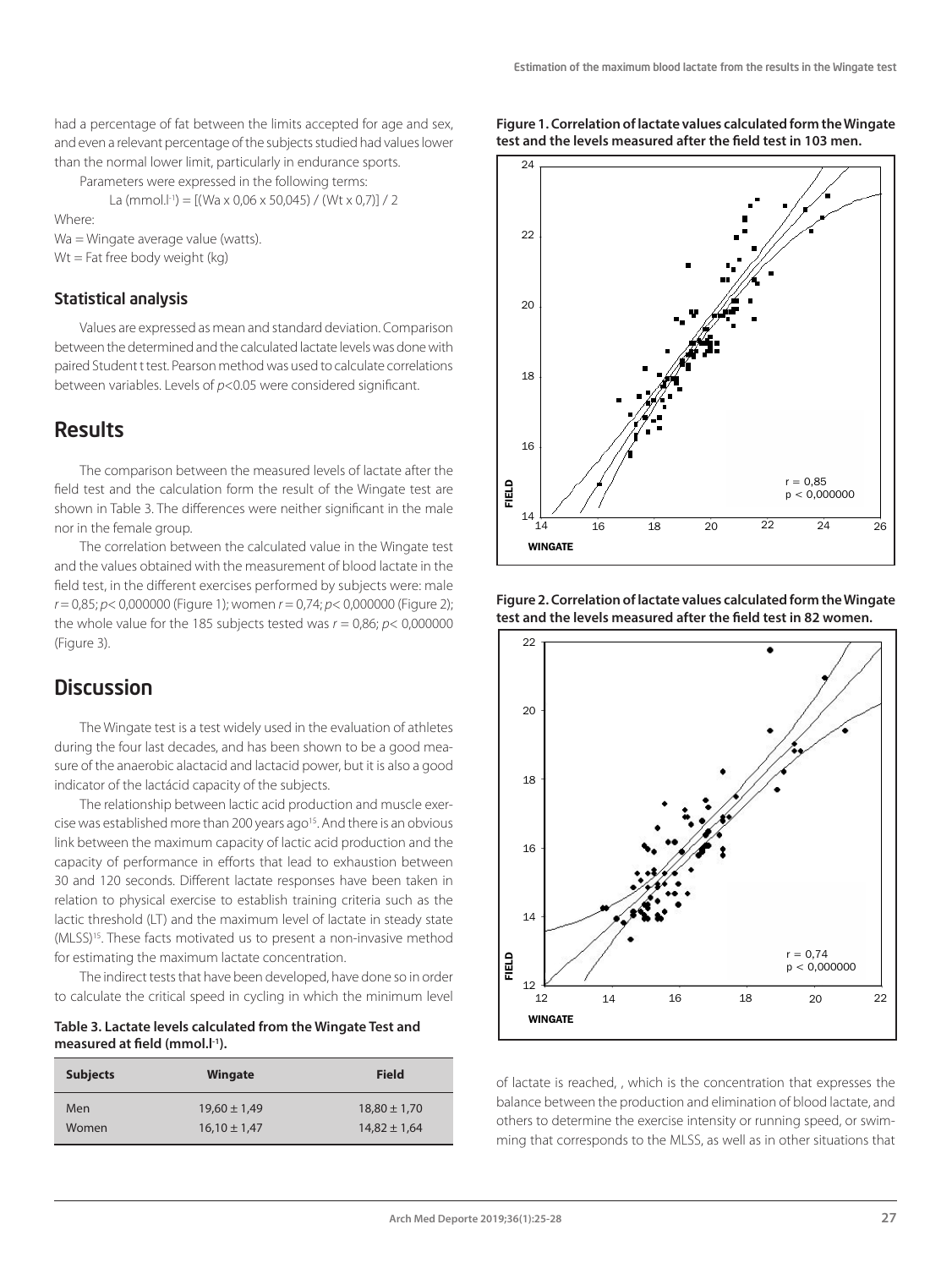**Figure 1. Correlation of lactate values calculated form the Wingate** 

had a percentage of fat between the limits accepted for age and sex. and even a relevant percentage of the subjects studied had values lower than the normal lower limit, particularly in endurance sports.

Parameters were expressed in the following terms:

La (mmol.<sup>[-1</sup>) =  $[(Wa \times 0.06 \times 50.045) / (Wt \times 0.7)] / 2$ 

Where:

Wa = Wingate average value (watts).

Wt = Fat free body weight (kg)

#### Statistical analysis

Values are expressed as mean and standard deviation. Comparison between the determined and the calculated lactate levels was done with paired Student t test. Pearson method was used to calculate correlations between variables. Levels of *p*<0.05 were considered significant.

### **Results**

The comparison between the measured levels of lactate after the field test and the calculation form the result of the Wingate test are shown in Table 3. The differences were neither significant in the male nor in the female group.

The correlation between the calculated value in the Wingate test and the values obtained with the measurement of blood lactate in the field test, in the different exercises performed by subjects were: male *r* = 0,85; *p*< 0,000000 (Figure 1); women *r* = 0,74; *p*< 0,000000 (Figure 2); the whole value for the 185 subjects tested was  $r = 0.86$ ;  $p < 0.000000$ (Figure 3).

### **Discussion**

The Wingate test is a test widely used in the evaluation of athletes during the four last decades, and has been shown to be a good measure of the anaerobic alactacid and lactacid power, but it is also a good indicator of the lactácid capacity of the subjects.

The relationship between lactic acid production and muscle exercise was established more than 200 years ago<sup>15</sup>. And there is an obvious link between the maximum capacity of lactic acid production and the capacity of performance in efforts that lead to exhaustion between 30 and 120 seconds. Different lactate responses have been taken in relation to physical exercise to establish training criteria such as the lactic threshold (LT) and the maximum level of lactate in steady state (MLSS)15. These facts motivated us to present a non-invasive method for estimating the maximum lactate concentration.

The indirect tests that have been developed, have done so in order to calculate the critical speed in cycling in which the minimum level

**Table 3. Lactate levels calculated from the Wingate Test and measured at field (mmol.l-1).**

| <b>Subjects</b> | Wingate          | Field            |
|-----------------|------------------|------------------|
| Men             | $19.60 \pm 1.49$ | $18,80 \pm 1,70$ |
| Women           | $16.10 \pm 1.47$ | $14.82 \pm 1.64$ |



**Figure 2. Correlation of lactate values calculated form the Wingate test and the levels measured after the field test in 82 women.**



of lactate is reached, , which is the concentration that expresses the balance between the production and elimination of blood lactate, and others to determine the exercise intensity or running speed, or swimming that corresponds to the MLSS, as well as in other situations that